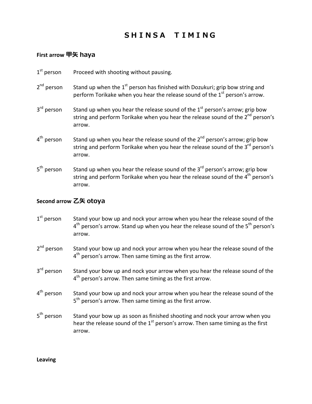## **SHINSA TIMING**

## **First arrow 甲矢 haya**

| $1st$ person           | Proceed with shooting without pausing.                                                                                                                                                            |
|------------------------|---------------------------------------------------------------------------------------------------------------------------------------------------------------------------------------------------|
| 2 <sup>nd</sup> person | Stand up when the 1 <sup>st</sup> person has finished with Dozukuri; grip bow string and<br>perform Torikake when you hear the release sound of the $1st$ person's arrow.                         |
| 3 <sup>rd</sup> person | Stand up when you hear the release sound of the $1st$ person's arrow; grip bow<br>string and perform Torikake when you hear the release sound of the 2 <sup>nd</sup> person's<br>arrow.           |
| 4 <sup>th</sup> person | Stand up when you hear the release sound of the 2 <sup>nd</sup> person's arrow; grip bow<br>string and perform Torikake when you hear the release sound of the 3 <sup>rd</sup> person's<br>arrow. |
| 5 <sup>th</sup> person | Stand up when you hear the release sound of the $3rd$ person's arrow; grip bow<br>string and perform Torikake when you hear the release sound of the 4 <sup>th</sup> person's<br>arrow.           |

## **Second arrow 乙矢 otoya**

- $1<sup>st</sup>$  person Stand your bow up and nock your arrow when you hear the release sound of the  $4<sup>th</sup>$  person's arrow. Stand up when you hear the release sound of the  $5<sup>th</sup>$  person's arrow.
- $2<sup>nd</sup>$  person Stand your bow up and nock your arrow when you hear the release sound of the 4<sup>th</sup> person's arrow. Then same timing as the first arrow.
- 3<sup>rd</sup> person Stand your bow up and nock your arrow when you hear the release sound of the  $4<sup>th</sup>$  person's arrow. Then same timing as the first arrow.
- $4<sup>th</sup>$  person Stand your bow up and nock your arrow when you hear the release sound of the 5<sup>th</sup> person's arrow. Then same timing as the first arrow.
- 5<sup>th</sup> person Stand your bow up as soon as finished shooting and nock your arrow when you hear the release sound of the  $1<sup>st</sup>$  person's arrow. Then same timing as the first arrow.

**Leaving**